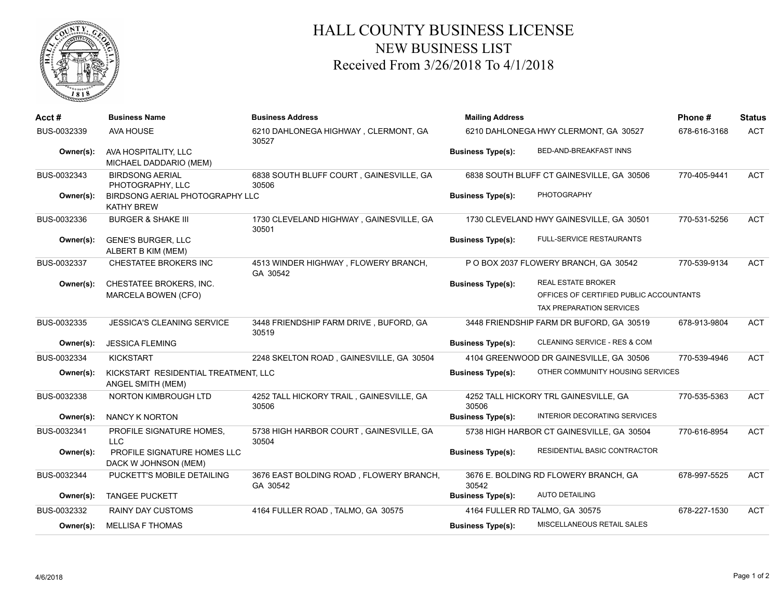

## HALL COUNTY BUSINESS LICENSE NEW BUSINESS LIST Received From 3/26/2018 To 4/1/2018

| Acct#       | <b>Business Name</b>                                      | <b>Business Address</b>                             | <b>Mailing Address</b>   |                                                                                                  | Phone#       | <b>Status</b> |
|-------------|-----------------------------------------------------------|-----------------------------------------------------|--------------------------|--------------------------------------------------------------------------------------------------|--------------|---------------|
| BUS-0032339 | AVA HOUSE                                                 | 6210 DAHLONEGA HIGHWAY, CLERMONT, GA<br>30527       |                          | 6210 DAHLONEGA HWY CLERMONT, GA 30527                                                            | 678-616-3168 | <b>ACT</b>    |
| Owner(s):   | AVA HOSPITALITY, LLC<br>MICHAEL DADDARIO (MEM)            |                                                     | <b>Business Type(s):</b> | BED-AND-BREAKFAST INNS                                                                           |              |               |
| BUS-0032343 | <b>BIRDSONG AERIAL</b><br>PHOTOGRAPHY, LLC                | 6838 SOUTH BLUFF COURT, GAINESVILLE, GA<br>30506    |                          | 6838 SOUTH BLUFF CT GAINESVILLE, GA 30506                                                        | 770-405-9441 | <b>ACT</b>    |
| Owner(s):   | BIRDSONG AERIAL PHOTOGRAPHY LLC<br><b>KATHY BREW</b>      |                                                     | <b>Business Type(s):</b> | <b>PHOTOGRAPHY</b>                                                                               |              |               |
| BUS-0032336 | <b>BURGER &amp; SHAKE III</b>                             | 1730 CLEVELAND HIGHWAY, GAINESVILLE, GA<br>30501    |                          | 1730 CLEVELAND HWY GAINESVILLE, GA 30501                                                         | 770-531-5256 | <b>ACT</b>    |
| Owner(s):   | <b>GENE'S BURGER, LLC</b><br>ALBERT B KIM (MEM)           |                                                     | <b>Business Type(s):</b> | <b>FULL-SERVICE RESTAURANTS</b>                                                                  |              |               |
| BUS-0032337 | CHESTATEE BROKERS INC                                     | 4513 WINDER HIGHWAY, FLOWERY BRANCH,<br>GA 30542    |                          | P O BOX 2037 FLOWERY BRANCH, GA 30542                                                            | 770-539-9134 | <b>ACT</b>    |
| Owner(s):   | CHESTATEE BROKERS, INC.<br>MARCELA BOWEN (CFO)            |                                                     | <b>Business Type(s):</b> | <b>REAL ESTATE BROKER</b><br>OFFICES OF CERTIFIED PUBLIC ACCOUNTANTS<br>TAX PREPARATION SERVICES |              |               |
| BUS-0032335 | <b>JESSICA'S CLEANING SERVICE</b>                         | 3448 FRIENDSHIP FARM DRIVE, BUFORD, GA<br>30519     |                          | 3448 FRIENDSHIP FARM DR BUFORD, GA 30519                                                         | 678-913-9804 | <b>ACT</b>    |
| Owner(s):   | <b>JESSICA FLEMING</b>                                    |                                                     | <b>Business Type(s):</b> | CLEANING SERVICE - RES & COM                                                                     |              |               |
| BUS-0032334 | <b>KICKSTART</b>                                          | 2248 SKELTON ROAD, GAINESVILLE, GA 30504            |                          | 4104 GREENWOOD DR GAINESVILLE, GA 30506                                                          | 770-539-4946 | <b>ACT</b>    |
| Owner(s):   | KICKSTART RESIDENTIAL TREATMENT, LLC<br>ANGEL SMITH (MEM) |                                                     | <b>Business Type(s):</b> | OTHER COMMUNITY HOUSING SERVICES                                                                 |              |               |
| BUS-0032338 | NORTON KIMBROUGH LTD                                      | 4252 TALL HICKORY TRAIL, GAINESVILLE, GA<br>30506   | 30506                    | 4252 TALL HICKORY TRL GAINESVILLE, GA                                                            | 770-535-5363 | <b>ACT</b>    |
| Owner(s):   | <b>NANCY K NORTON</b>                                     |                                                     | <b>Business Type(s):</b> | <b>INTERIOR DECORATING SERVICES</b>                                                              |              |               |
| BUS-0032341 | PROFILE SIGNATURE HOMES,<br><b>LLC</b>                    | 5738 HIGH HARBOR COURT, GAINESVILLE, GA<br>30504    |                          | 5738 HIGH HARBOR CT GAINESVILLE, GA 30504                                                        | 770-616-8954 | <b>ACT</b>    |
| Owner(s):   | PROFILE SIGNATURE HOMES LLC<br>DACK W JOHNSON (MEM)       |                                                     | <b>Business Type(s):</b> | RESIDENTIAL BASIC CONTRACTOR                                                                     |              |               |
| BUS-0032344 | PUCKETT'S MOBILE DETAILING                                | 3676 EAST BOLDING ROAD, FLOWERY BRANCH,<br>GA 30542 | 30542                    | 3676 E. BOLDING RD FLOWERY BRANCH, GA                                                            | 678-997-5525 | <b>ACT</b>    |
| Owner(s):   | <b>TANGEE PUCKETT</b>                                     |                                                     | <b>Business Type(s):</b> | <b>AUTO DETAILING</b>                                                                            |              |               |
| BUS-0032332 | <b>RAINY DAY CUSTOMS</b>                                  | 4164 FULLER ROAD, TALMO, GA 30575                   |                          | 4164 FULLER RD TALMO, GA 30575                                                                   | 678-227-1530 | <b>ACT</b>    |
| Owner(s):   | <b>MELLISA F THOMAS</b>                                   |                                                     | <b>Business Type(s):</b> | MISCELLANEOUS RETAIL SALES                                                                       |              |               |